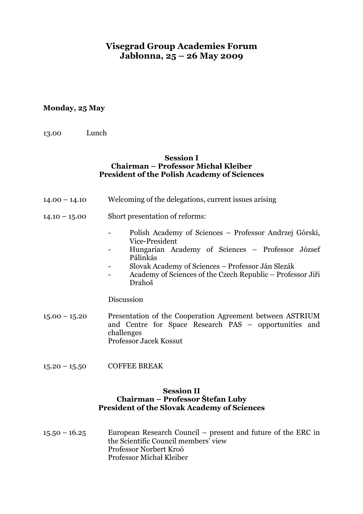# **Visegrad Group Academies Forum Jabłonna, 25 – 26 May 2009**

# **Monday, 25 May**

| 13.00 | Lunch |
|-------|-------|
|       |       |

#### **Session I Chairman – Professor Michał Kleiber President of the Polish Academy of Sciences**

- 14.00 14.10 Welcoming of the delegations, current issues arising
- 14.10 15.00 Short presentation of reforms:
	- Polish Academy of Sciences Professor Andrzej Górski, Vice-President
	- Hungarian Academy of Sciences Professor József Pálinkás
	- Slovak Academy of Sciences Professor Ján Slezák
	- Academy of Sciences of the Czech Republic Professor Jiři Drahoš

Discussion

- 15.00 15.20 Presentation of the Cooperation Agreement between ASTRIUM and Centre for Space Research PAS – opportunities and challenges Professor Jacek Kossut
- 15.20 15.50 COFFEE BREAK

#### **Session II Chairman – Professor Štefan Luby President of the Slovak Academy of Sciences**

15.50 – 16.25 European Research Council – present and future of the ERC in the Scientific Council members' view Professor Norbert Kroó Professor Michał Kleiber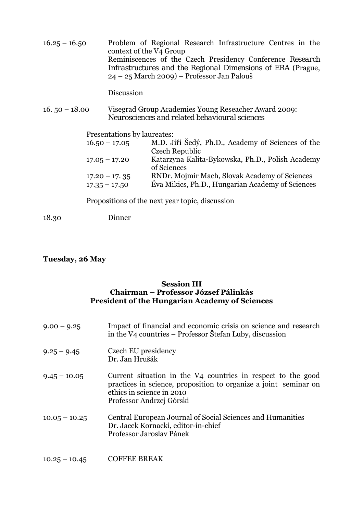| $16.25 - 16.50$ | Problem of Regional Research Infrastructure Centres in the<br>context of the V4 Group                                    |
|-----------------|--------------------------------------------------------------------------------------------------------------------------|
|                 | Reminiscences of the Czech Presidency Conference Research<br>Infrastructures and the Regional Dimensions of ERA (Prague, |
|                 | $24 - 25$ March 2009) – Professor Jan Palouš                                                                             |

Discussion

16. 50 – 18.00 Visegrad Group Academies Young Reseacher Award 2009: *Neurosciences and related behavioural sciences* 

Presentations by laureates:

| $16.50 - 17.05$ | M.D. Jiří Šedý, Ph.D., Academy of Sciences of the |
|-----------------|---------------------------------------------------|
|                 | Czech Republic                                    |
| $17.05 - 17.20$ | Katarzyna Kalita-Bykowska, Ph.D., Polish Academy  |
|                 | of Sciences                                       |
| $17.20 - 17.35$ | RNDr. Mojmír Mach, Slovak Academy of Sciences     |
| $17.35 - 17.50$ | Éva Mikics, Ph.D., Hungarian Academy of Sciences  |

Propositions of the next year topic, discussion

18.30 Dinner

# **Tuesday, 26 May**

### **Session III Chairman – Professor József Pálinkás President of the Hungarian Academy of Sciences**

| $9.00 - 9.25$   | Impact of financial and economic crisis on science and research<br>in the V4 countries – Professor Štefan Luby, discussion                                                                |
|-----------------|-------------------------------------------------------------------------------------------------------------------------------------------------------------------------------------------|
| $9.25 - 9.45$   | Czech EU presidency<br>Dr. Jan Hrušák                                                                                                                                                     |
| $9.45 - 10.05$  | Current situation in the V4 countries in respect to the good<br>practices in science, proposition to organize a joint seminar on<br>ethics in science in 2010<br>Professor Andrzej Górski |
| $10.05 - 10.25$ | Central European Journal of Social Sciences and Humanities<br>Dr. Jacek Kornacki, editor-in-chief<br>Professor Jaroslav Pánek                                                             |

10.25 – 10.45 COFFEE BREAK